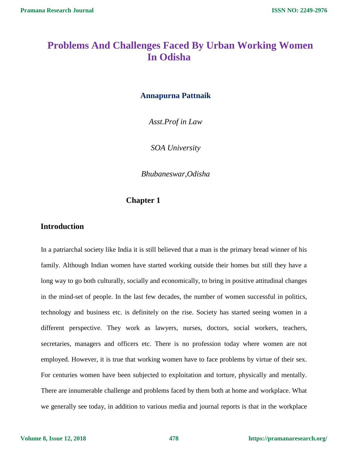# **Problems And Challenges Faced By Urban Working Women In Odisha**

### **Annapurna Pattnaik**

*Asst.Prof in Law*

*SOA University*

*Bhubaneswar,Odisha*

### **Chapter 1**

### **Introduction**

In a patriarchal society like India it is still believed that a man is the primary bread winner of his family. Although Indian women have started working outside their homes but still they have a long way to go both culturally, socially and economically, to bring in positive attitudinal changes in the mind-set of people. In the last few decades, the number of women successful in politics, technology and business etc. is definitely on the rise. Society has started seeing women in a different perspective. They work as lawyers, nurses, doctors, social workers, teachers, secretaries, managers and officers etc. There is no profession today where women are not employed. However, it is true that working women have to face problems by virtue of their sex. For centuries women have been subjected to exploitation and torture, physically and mentally. There are innumerable challenge and problems faced by them both at home and workplace. What we generally see today, in addition to various media and journal reports is that in the workplace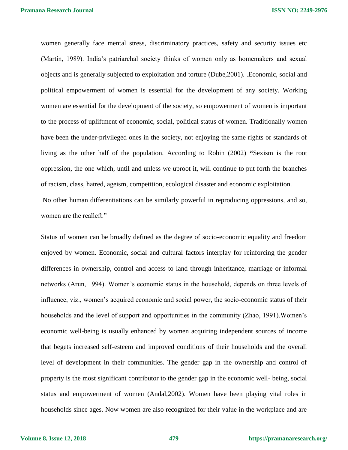women generally face mental stress, discriminatory practices, safety and security issues etc (Martin, 1989). India's patriarchal society thinks of women only as homemakers and sexual objects and is generally subjected to exploitation and torture (Dube,2001). .Economic, social and political empowerment of women is essential for the development of any society. Working women are essential for the development of the society, so empowerment of women is important to the process of upliftment of economic, social, political status of women. Traditionally women have been the under-privileged ones in the society, not enjoying the same rights or standards of living as the other half of the population. According to Robin (2002) **"**Sexism is the root oppression, the one which, until and unless we uproot it, will continue to put forth the branches of racism, class, hatred, ageism, competition, ecological disaster and economic exploitation.

No other human differentiations can be similarly powerful in reproducing oppressions, and so, women are the realleft."

Status of women can be broadly defined as the degree of socio-economic equality and freedom enjoyed by women. Economic, social and cultural factors interplay for reinforcing the gender differences in ownership, control and access to land through inheritance, marriage or informal networks (Arun, 1994). Women's economic status in the household, depends on three levels of influence, viz., women's acquired economic and social power, the socio-economic status of their households and the level of support and opportunities in the community (Zhao, 1991).Women's economic well-being is usually enhanced by women acquiring independent sources of income that begets increased self-esteem and improved conditions of their households and the overall level of development in their communities. The gender gap in the ownership and control of property is the most significant contributor to the gender gap in the economic well- being, social status and empowerment of women (Andal,2002). Women have been playing vital roles in households since ages. Now women are also recognized for their value in the workplace and are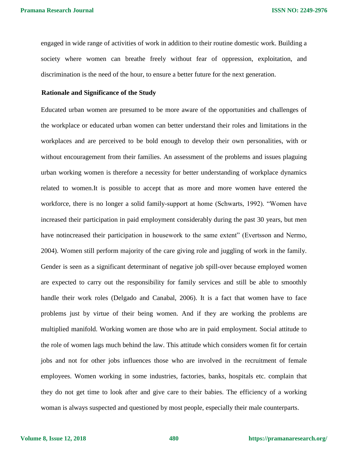engaged in wide range of activities of work in addition to their routine domestic work. Building a society where women can breathe freely without fear of oppression, exploitation, and discrimination is the need of the hour, to ensure a better future for the next generation.

#### **Rationale and Significance of the Study**

Educated urban women are presumed to be more aware of the opportunities and challenges of the workplace or educated urban women can better understand their roles and limitations in the workplaces and are perceived to be bold enough to develop their own personalities, with or without encouragement from their families. An assessment of the problems and issues plaguing urban working women is therefore a necessity for better understanding of workplace dynamics related to women.It is possible to accept that as more and more women have entered the workforce, there is no longer a solid family-support at home (Schwarts, 1992). "Women have increased their participation in paid employment considerably during the past 30 years, but men have notincreased their participation in housework to the same extent" (Evertsson and Nermo, 2004). Women still perform majority of the care giving role and juggling of work in the family. Gender is seen as a significant determinant of negative job spill-over because employed women are expected to carry out the responsibility for family services and still be able to smoothly handle their work roles (Delgado and Canabal, 2006). It is a fact that women have to face problems just by virtue of their being women. And if they are working the problems are multiplied manifold. Working women are those who are in paid employment. Social attitude to the role of women lags much behind the law. This attitude which considers women fit for certain jobs and not for other jobs influences those who are involved in the recruitment of female employees. Women working in some industries, factories, banks, hospitals etc. complain that they do not get time to look after and give care to their babies. The efficiency of a working woman is always suspected and questioned by most people, especially their male counterparts.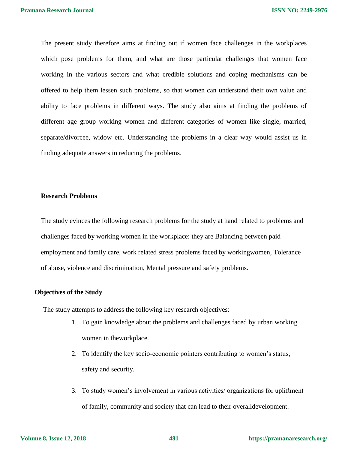The present study therefore aims at finding out if women face challenges in the workplaces which pose problems for them, and what are those particular challenges that women face working in the various sectors and what credible solutions and coping mechanisms can be offered to help them lessen such problems, so that women can understand their own value and ability to face problems in different ways. The study also aims at finding the problems of different age group working women and different categories of women like single, married, separate/divorcee, widow etc. Understanding the problems in a clear way would assist us in finding adequate answers in reducing the problems.

#### **Research Problems**

The study evinces the following research problems for the study at hand related to problems and challenges faced by working women in the workplace: they are Balancing between paid employment and family care, work related stress problems faced by workingwomen, Tolerance of abuse, violence and discrimination, Mental pressure and safety problems.

#### **Objectives of the Study**

The study attempts to address the following key research objectives:

- 1. To gain knowledge about the problems and challenges faced by urban working women in theworkplace.
- 2. To identify the key socio-economic pointers contributing to women's status, safety and security.
- 3. To study women's involvement in various activities/ organizations for upliftment of family, community and society that can lead to their overalldevelopment.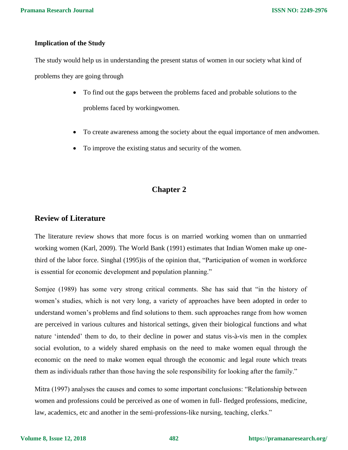### **Implication of the Study**

The study would help us in understanding the present status of women in our society what kind of problems they are going through

- To find out the gaps between the problems faced and probable solutions to the problems faced by workingwomen.
- To create awareness among the society about the equal importance of men andwomen.
- To improve the existing status and security of the women.

# **Chapter 2**

### **Review of Literature**

The literature review shows that more focus is on married working women than on unmarried working women (Karl, 2009). The World Bank (1991) estimates that Indian Women make up onethird of the labor force. Singhal (1995)is of the opinion that, "Participation of women in workforce is essential for economic development and population planning."

Somjee (1989) has some very strong critical comments. She has said that "in the history of women's studies, which is not very long, a variety of approaches have been adopted in order to understand women's problems and find solutions to them. such approaches range from how women are perceived in various cultures and historical settings, given their biological functions and what nature 'intended' them to do, to their decline in power and status vis-à-vis men in the complex social evolution, to a widely shared emphasis on the need to make women equal through the economic on the need to make women equal through the economic and legal route which treats them as individuals rather than those having the sole responsibility for looking after the family."

Mitra (1997) analyses the causes and comes to some important conclusions: "Relationship between women and professions could be perceived as one of women in full- fledged professions, medicine, law, academics, etc and another in the semi-professions-like nursing, teaching, clerks."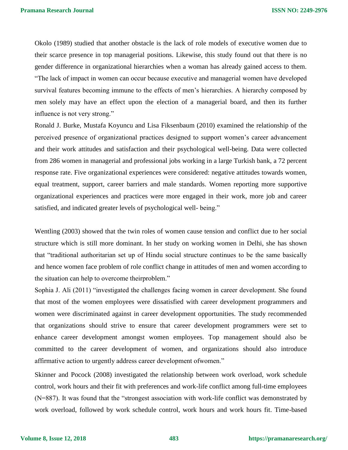Okolo (1989) studied that another obstacle is the lack of role models of executive women due to their scarce presence in top managerial positions. Likewise, this study found out that there is no gender difference in organizational hierarchies when a woman has already gained access to them. "The lack of impact in women can occur because executive and managerial women have developed survival features becoming immune to the effects of men's hierarchies. A hierarchy composed by men solely may have an effect upon the election of a managerial board, and then its further influence is not very strong."

Ronald J. Burke, Mustafa Koyuncu and Lisa Fiksenbaum (2010) examined the relationship of the perceived presence of organizational practices designed to support women's career advancement and their work attitudes and satisfaction and their psychological well-being. Data were collected from 286 women in managerial and professional jobs working in a large Turkish bank, a 72 percent response rate. Five organizational experiences were considered: negative attitudes towards women, equal treatment, support, career barriers and male standards. Women reporting more supportive organizational experiences and practices were more engaged in their work, more job and career satisfied, and indicated greater levels of psychological well- being."

Wentling (2003) showed that the twin roles of women cause tension and conflict due to her social structure which is still more dominant. In her study on working women in Delhi, she has shown that "traditional authoritarian set up of Hindu social structure continues to be the same basically and hence women face problem of role conflict change in attitudes of men and women according to the situation can help to overcome theirproblem."

Sophia J. Ali (2011) "investigated the challenges facing women in career development. She found that most of the women employees were dissatisfied with career development programmers and women were discriminated against in career development opportunities. The study recommended that organizations should strive to ensure that career development programmers were set to enhance career development amongst women employees. Top management should also be committed to the career development of women, and organizations should also introduce affirmative action to urgently address career development ofwomen."

Skinner and Pocock (2008) investigated the relationship between work overload, work schedule control, work hours and their fit with preferences and work-life conflict among full-time employees (N=887). It was found that the "strongest association with work-life conflict was demonstrated by work overload, followed by work schedule control, work hours and work hours fit. Time-based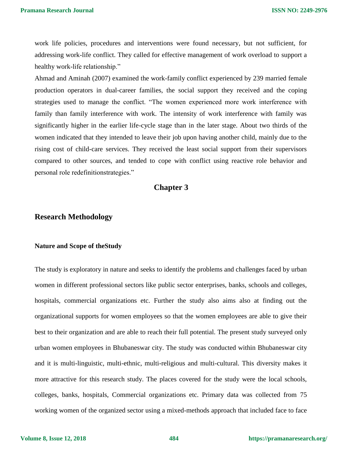work life policies, procedures and interventions were found necessary, but not sufficient, for addressing work-life conflict. They called for effective management of work overload to support a healthy work-life relationship."

Ahmad and Aminah (2007) examined the work-family conflict experienced by 239 married female production operators in dual-career families, the social support they received and the coping strategies used to manage the conflict. "The women experienced more work interference with family than family interference with work. The intensity of work interference with family was significantly higher in the earlier life-cycle stage than in the later stage. About two thirds of the women indicated that they intended to leave their job upon having another child, mainly due to the rising cost of child-care services. They received the least social support from their supervisors compared to other sources, and tended to cope with conflict using reactive role behavior and personal role redefinitionstrategies."

### **Chapter 3**

### **Research Methodology**

#### **Nature and Scope of theStudy**

The study is exploratory in nature and seeks to identify the problems and challenges faced by urban women in different professional sectors like public sector enterprises, banks, schools and colleges, hospitals, commercial organizations etc. Further the study also aims also at finding out the organizational supports for women employees so that the women employees are able to give their best to their organization and are able to reach their full potential. The present study surveyed only urban women employees in Bhubaneswar city. The study was conducted within Bhubaneswar city and it is multi-linguistic, multi-ethnic, multi-religious and multi-cultural. This diversity makes it more attractive for this research study. The places covered for the study were the local schools, colleges, banks, hospitals, Commercial organizations etc. Primary data was collected from 75 working women of the organized sector using a mixed-methods approach that included face to face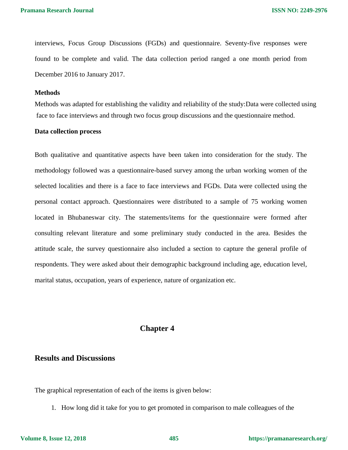interviews, Focus Group Discussions (FGDs) and questionnaire. Seventy-five responses were found to be complete and valid. The data collection period ranged a one month period from December 2016 to January 2017.

#### **Methods**

Methods was adapted for establishing the validity and reliability of the study:Data were collected using face to face interviews and through two focus group discussions and the questionnaire method.

#### **Data collection process**

Both qualitative and quantitative aspects have been taken into consideration for the study. The methodology followed was a questionnaire-based survey among the urban working women of the selected localities and there is a face to face interviews and FGDs. Data were collected using the personal contact approach. Questionnaires were distributed to a sample of 75 working women located in Bhubaneswar city. The statements/items for the questionnaire were formed after consulting relevant literature and some preliminary study conducted in the area. Besides the attitude scale, the survey questionnaire also included a section to capture the general profile of respondents. They were asked about their demographic background including age, education level, marital status, occupation, years of experience, nature of organization etc.

### **Chapter 4**

### **Results and Discussions**

The graphical representation of each of the items is given below:

1. How long did it take for you to get promoted in comparison to male colleagues of the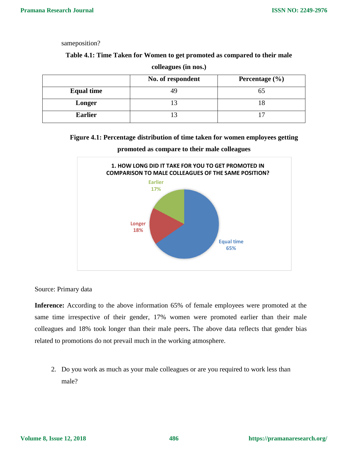sameposition?

### **Table 4.1: Time Taken for Women to get promoted as compared to their male**

|                   | No. of respondent | Percentage $(\% )$ |
|-------------------|-------------------|--------------------|
| <b>Equal time</b> |                   | ЭJ                 |
| Longer            |                   |                    |
| <b>Earlier</b>    |                   |                    |

**colleagues (in nos.)**

### **Figure 4.1: Percentage distribution of time taken for women employees getting**



**promoted as compare to their male colleagues**

Source: Primary data

Inference: According to the above information 65% of female employees were promoted at the same time irrespective of their gender, 17% women were promoted earlier than their male colleagues and 18% took longer than their male peers**.** The above data reflects that gender bias related to promotions do not prevail much in the working atmosphere.

2. Do you work as much as your male colleagues or are you required to work less than male?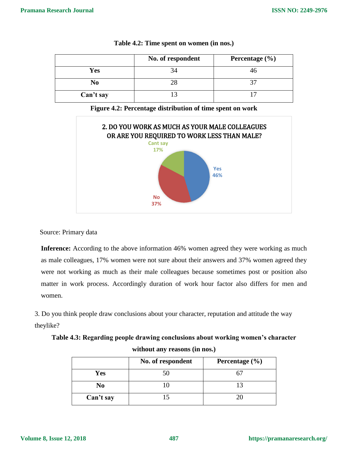|                | No. of respondent | Percentage $(\% )$ |
|----------------|-------------------|--------------------|
| Yes            |                   |                    |
| N <sub>0</sub> |                   |                    |
| Can't say      |                   |                    |

**Table 4.2: Time spent on women (in nos.)**





Source: Primary data

**Inference:** According to the above information 46% women agreed they were working as much as male colleagues, 17% women were not sure about their answers and 37% women agreed they were not working as much as their male colleagues because sometimes post or position also matter in work process. Accordingly duration of work hour factor also differs for men and women.

3. Do you think people draw conclusions about your character, reputation and attitude the way theylike?

**Table 4.3: Regarding people drawing conclusions about working women's character without any reasons (in nos.)**

|           | No. of respondent | Percentage $(\% )$ |
|-----------|-------------------|--------------------|
| Yes       | 50                |                    |
| No        |                   |                    |
| Can't say |                   |                    |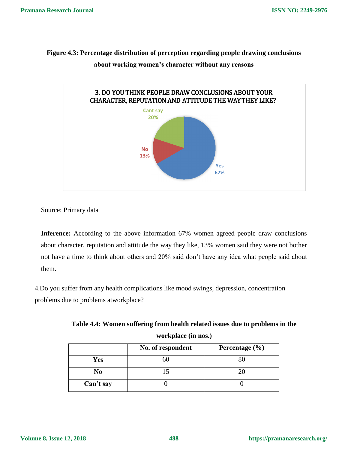**Figure 4.3: Percentage distribution of perception regarding people drawing conclusions** 



**about working women's character without any reasons**

Source: Primary data

**Inference:** According to the above information 67% women agreed people draw conclusions about character, reputation and attitude the way they like, 13% women said they were not bother not have a time to think about others and 20% said don't have any idea what people said about them.

4.Do you suffer from any health complications like mood swings, depression, concentration problems due to problems atworkplace?

| No. of respondent | Percentage $(\% )$ |
|-------------------|--------------------|
| σU                |                    |
|                   |                    |
|                   |                    |
|                   |                    |

**Table 4.4: Women suffering from health related issues due to problems in the workplace (in nos.)**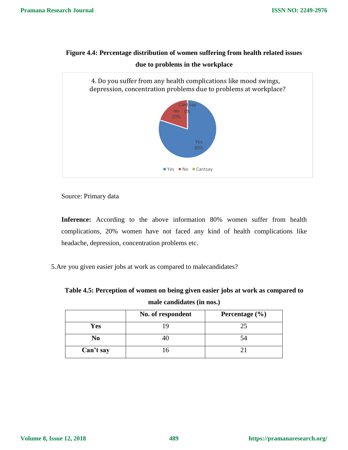### **Figure 4.4: Percentage distribution of women suffering from health related issues**



**due to problems in the workplace**

Source: Primary data

**Inference:** According to the above information 80% women suffer from health complications, 20% women have not faced any kind of health complications like headache, depression, concentration problems etc.

5.Are you given easier jobs at work as compared to malecandidates?

**Table 4.5: Perception of women on being given easier jobs at work as compared to male candidates (in nos.)**

|           | No. of respondent | Percentage $(\% )$ |
|-----------|-------------------|--------------------|
| Yes       |                   |                    |
| No        |                   |                    |
| Can't say |                   |                    |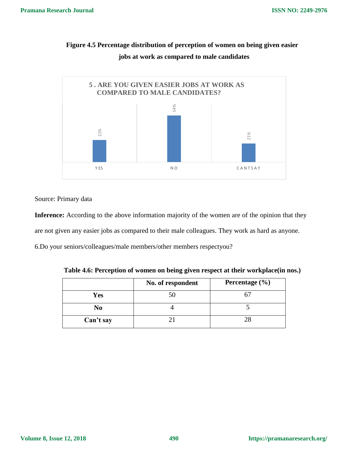



Source: Primary data

Inference: According to the above information majority of the women are of the opinion that they are not given any easier jobs as compared to their male colleagues. They work as hard as anyone.

6.Do your seniors/colleagues/male members/other members respectyou?

|           | No. of respondent | Percentage $(\% )$ |
|-----------|-------------------|--------------------|
| Yes       | 50                |                    |
| No        |                   |                    |
| Can't say |                   |                    |

**Table 4.6: Perception of women on being given respect at their workplace(in nos.)**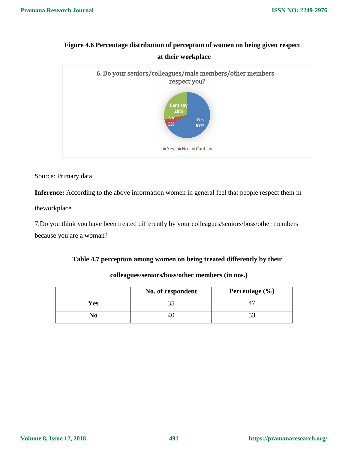# **Figure 4.6 Percentage distribution of perception of women on being given respect at their workplace**



Source: Primary data

Inference: According to the above information women in general feel that people respect them in

theworkplace.

7.Do you think you have been treated differently by your colleagues/seniors/boss/other members because you are a woman?

### **Table 4.7 perception among women on being treated differently by their**

|     | No. of respondent | Percentage $(\% )$ |
|-----|-------------------|--------------------|
| Yes |                   |                    |
| NO  | ΉΙ                |                    |

### **colleagues/seniors/boss/other members (in nos.)**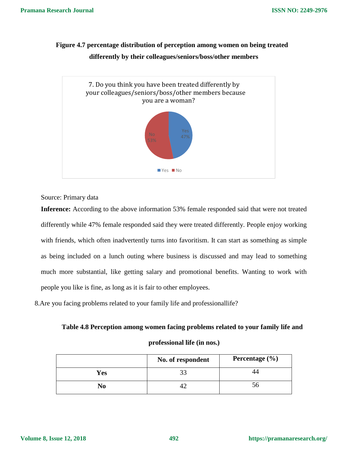# **Figure 4.7 percentage distribution of perception among women on being treated differently by their colleagues/seniors/boss/other members**



Source: Primary data

**Inference:** According to the above information 53% female responded said that were not treated differently while 47% female responded said they were treated differently. People enjoy working with friends, which often inadvertently turns into favoritism. It can start as something as simple as being included on a lunch outing where business is discussed and may lead to something much more substantial, like getting salary and promotional benefits. Wanting to work with people you like is fine, as long as it is fair to other employees.

8.Are you facing problems related to your family life and professionallife?

### **Table 4.8 Perception among women facing problems related to your family life and**

### **professional life (in nos.)**

|     | No. of respondent | Percentage $(\% )$ |
|-----|-------------------|--------------------|
| Yes |                   |                    |
| No  |                   |                    |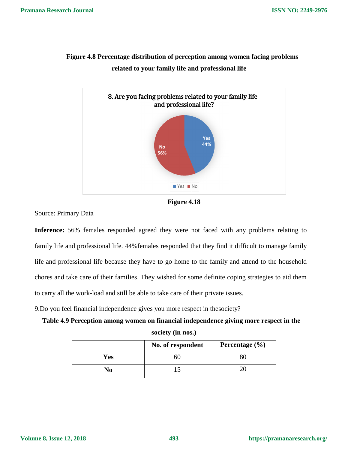

# **Figure 4.8 Percentage distribution of perception among women facing problems related to your family life and professional life**



Source: Primary Data

**Inference:** 56% females responded agreed they were not faced with any problems relating to family life and professional life. 44%females responded that they find it difficult to manage family life and professional life because they have to go home to the family and attend to the household chores and take care of their families. They wished for some definite coping strategies to aid them to carry all the work-load and still be able to take care of their private issues.

9.Do you feel financial independence gives you more respect in thesociety?

| Table 4.9 Perception among women on financial independence giving more respect in the |
|---------------------------------------------------------------------------------------|
| society (in nos.)                                                                     |

|     | No. of respondent | Percentage $(\% )$ |
|-----|-------------------|--------------------|
| Yes |                   |                    |
| No  |                   |                    |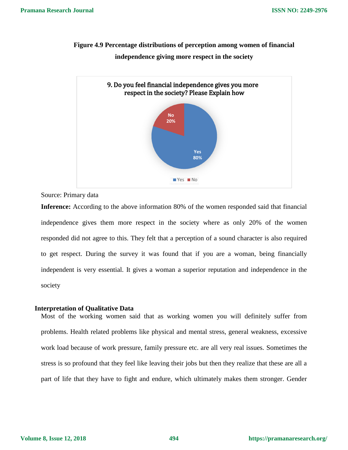# **Figure 4.9 Percentage distributions of perception among women of financial independence giving more respect in the society**



Source: Primary data

**Inference:** According to the above information 80% of the women responded said that financial independence gives them more respect in the society where as only 20% of the women responded did not agree to this. They felt that a perception of a sound character is also required to get respect. During the survey it was found that if you are a woman, being financially independent is very essential. It gives a woman a superior reputation and independence in the society

### **Interpretation of Qualitative Data**

Most of the working women said that as working women you will definitely suffer from problems. Health related problems like physical and mental stress, general weakness, excessive work load because of work pressure, family pressure etc. are all very real issues. Sometimes the stress is so profound that they feel like leaving their jobs but then they realize that these are all a part of life that they have to fight and endure, which ultimately makes them stronger. Gender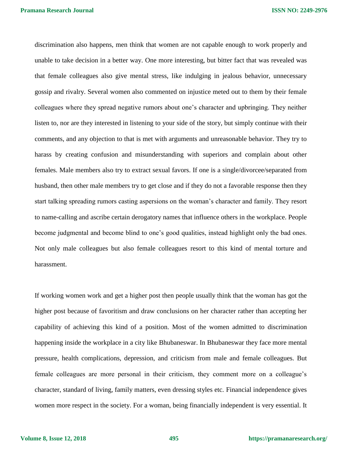**Pramana Research Journal**

**ISSN NO: 2249-2976**

discrimination also happens, men think that women are not capable enough to work properly and unable to take decision in a better way. One more interesting, but bitter fact that was revealed was that female colleagues also give mental stress, like indulging in jealous behavior, unnecessary gossip and rivalry. Several women also commented on injustice meted out to them by their female colleagues where they spread negative rumors about one's character and upbringing. They neither listen to, nor are they interested in listening to your side of the story, but simply continue with their comments, and any objection to that is met with arguments and unreasonable behavior. They try to harass by creating confusion and misunderstanding with superiors and complain about other females. Male members also try to extract sexual favors. If one is a single/divorcee/separated from husband, then other male members try to get close and if they do not a favorable response then they start talking spreading rumors casting aspersions on the woman's character and family. They resort to name-calling and ascribe certain derogatory names that influence others in the workplace. People become judgmental and become blind to one's good qualities, instead highlight only the bad ones. Not only male colleagues but also female colleagues resort to this kind of mental torture and harassment.

If working women work and get a higher post then people usually think that the woman has got the higher post because of favoritism and draw conclusions on her character rather than accepting her capability of achieving this kind of a position. Most of the women admitted to discrimination happening inside the workplace in a city like Bhubaneswar. In Bhubaneswar they face more mental pressure, health complications, depression, and criticism from male and female colleagues. But female colleagues are more personal in their criticism, they comment more on a colleague's character, standard of living, family matters, even dressing styles etc. Financial independence gives women more respect in the society. For a woman, being financially independent is very essential. It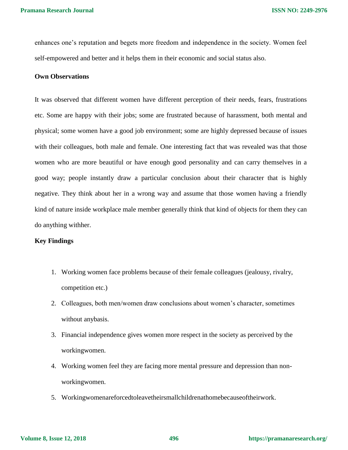enhances one's reputation and begets more freedom and independence in the society. Women feel self-empowered and better and it helps them in their economic and social status also.

### **Own Observations**

It was observed that different women have different perception of their needs, fears, frustrations etc. Some are happy with their jobs; some are frustrated because of harassment, both mental and physical; some women have a good job environment; some are highly depressed because of issues with their colleagues, both male and female. One interesting fact that was revealed was that those women who are more beautiful or have enough good personality and can carry themselves in a good way; people instantly draw a particular conclusion about their character that is highly negative. They think about her in a wrong way and assume that those women having a friendly kind of nature inside workplace male member generally think that kind of objects for them they can do anything withher.

### **Key Findings**

- 1. Working women face problems because of their female colleagues (jealousy, rivalry, competition etc.)
- 2. Colleagues, both men/women draw conclusions about women's character, sometimes without anybasis.
- 3. Financial independence gives women more respect in the society as perceived by the workingwomen.
- 4. Working women feel they are facing more mental pressure and depression than nonworkingwomen.
- 5. Workingwomenareforcedtoleavetheirsmallchildrenathomebecauseoftheirwork.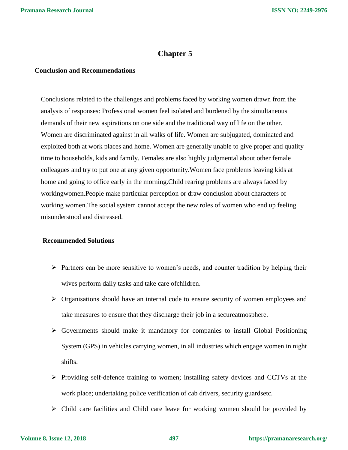## **Chapter 5**

#### **Conclusion and Recommendations**

Conclusions related to the challenges and problems faced by working women drawn from the analysis of responses: Professional women feel isolated and burdened by the simultaneous demands of their new aspirations on one side and the traditional way of life on the other. Women are discriminated against in all walks of life. Women are subjugated, dominated and exploited both at work places and home. Women are generally unable to give proper and quality time to households, kids and family. Females are also highly judgmental about other female colleagues and try to put one at any given opportunity.Women face problems leaving kids at home and going to office early in the morning.Child rearing problems are always faced by workingwomen.People make particular perception or draw conclusion about characters of working women.The social system cannot accept the new roles of women who end up feeling misunderstood and distressed.

### **Recommended Solutions**

- $\triangleright$  Partners can be more sensitive to women's needs, and counter tradition by helping their wives perform daily tasks and take care ofchildren.
- $\triangleright$  Organisations should have an internal code to ensure security of women employees and take measures to ensure that they discharge their job in a secureatmosphere.
- $\triangleright$  Governments should make it mandatory for companies to install Global Positioning System (GPS) in vehicles carrying women, in all industries which engage women in night shifts.
- $\triangleright$  Providing self-defence training to women; installing safety devices and CCTVs at the work place; undertaking police verification of cab drivers, security guardsetc.
- $\triangleright$  Child care facilities and Child care leave for working women should be provided by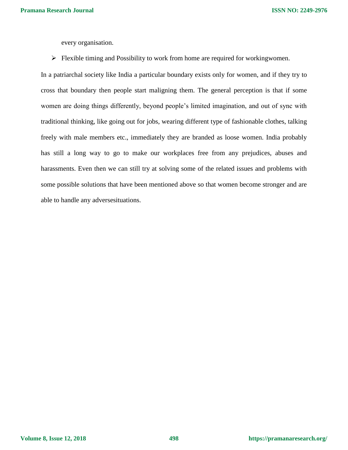every organisation.

 $\triangleright$  Flexible timing and Possibility to work from home are required for workingwomen.

In a patriarchal society like India a particular boundary exists only for women, and if they try to cross that boundary then people start maligning them. The general perception is that if some women are doing things differently, beyond people's limited imagination, and out of sync with traditional thinking, like going out for jobs, wearing different type of fashionable clothes, talking freely with male members etc., immediately they are branded as loose women. India probably has still a long way to go to make our workplaces free from any prejudices, abuses and harassments. Even then we can still try at solving some of the related issues and problems with some possible solutions that have been mentioned above so that women become stronger and are able to handle any adversesituations.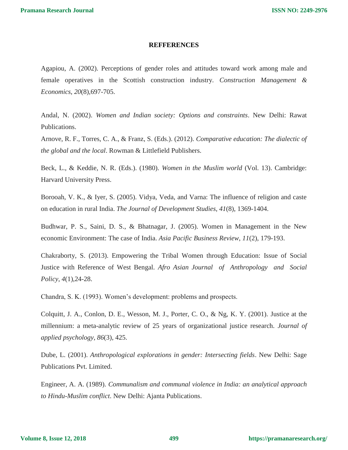### **REFFERENCES**

Agapiou, A. (2002). Perceptions of gender roles and attitudes toward work among male and female operatives in the Scottish construction industry. *Construction Management & Economics*, *20*(8),697-705.

Andal, N. (2002). *Women and Indian society: Options and constraints*. New Delhi: Rawat Publications.

Arnove, R. F., Torres, C. A., & Franz, S. (Eds.). (2012). *Comparative education: The dialectic of the global and the local*. Rowman & Littlefield Publishers.

Beck, L., & Keddie, N. R. (Eds.). (1980). *Women in the Muslim world* (Vol. 13). Cambridge: Harvard University Press.

Borooah, V. K., & Iyer, S. (2005). Vidya, Veda, and Varna: The influence of religion and caste on education in rural India. *The Journal of Development Studies*, *41*(8), 1369-1404.

Budhwar, P. S., Saini, D. S., & Bhatnagar, J. (2005). Women in Management in the New economic Environment: The case of India. *Asia Pacific Business Review*, *11*(2), 179-193.

Chakraborty, S. (2013). Empowering the Tribal Women through Education: Issue of Social Justice with Reference of West Bengal. *Afro Asian Journal of Anthropology and Social Policy*, *4*(1),24-28.

Chandra, S. K. (1993). Women's development: problems and prospects.

Colquitt, J. A., Conlon, D. E., Wesson, M. J., Porter, C. O., & Ng, K. Y. (2001). Justice at the millennium: a meta-analytic review of 25 years of organizational justice research. *Journal of applied psychology*, *86*(3), 425.

Dube, L. (2001). *Anthropological explorations in gender: Intersecting fields*. New Delhi: Sage Publications Pvt. Limited.

Engineer, A. A. (1989). *Communalism and communal violence in India: an analytical approach to Hindu-Muslim conflict*. New Delhi: Ajanta Publications.